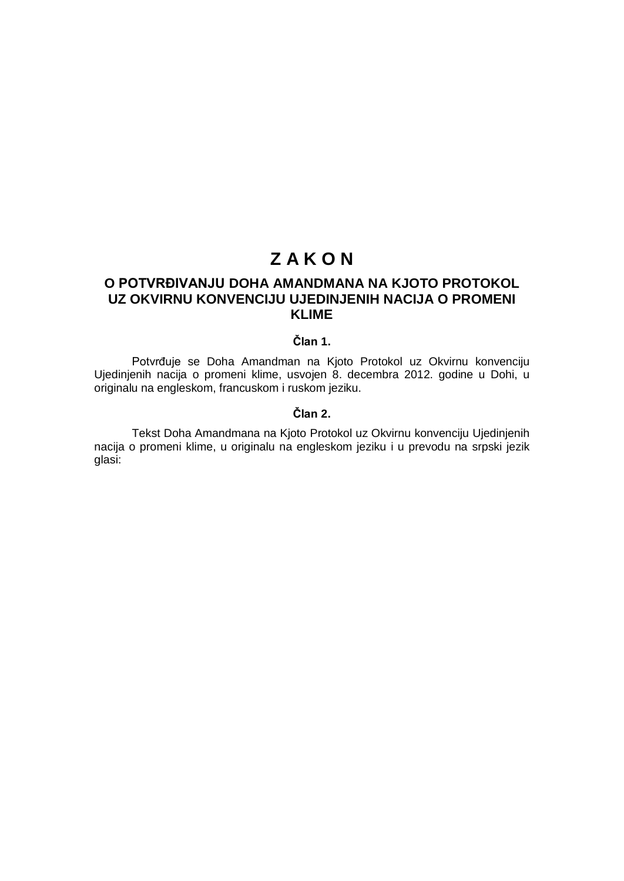# **Z A K O N**

# **O POTVRĐIVANJU DOHA AMANDMANA NA KJOTO PROTOKOL UZ OKVIRNU KONVENCIJU UJEDINJENIH NACIJA O PROMENI KLIME**

### **Član 1.**

Potvrđuje se Doha Amandman na Kjoto Protokol uz Okvirnu konvenciju Ujedinjenih nacija o promeni klime, usvojen 8. decembra 2012. godine u Dohi, u originalu na engleskom, francuskom i ruskom jeziku.

### **Član 2.**

Tekst Doha Amandmana na Kjoto Protokol uz Okvirnu konvenciju Ujedinjenih nacija o promeni klime, u originalu na engleskom jeziku i u prevodu na srpski jezik glasi: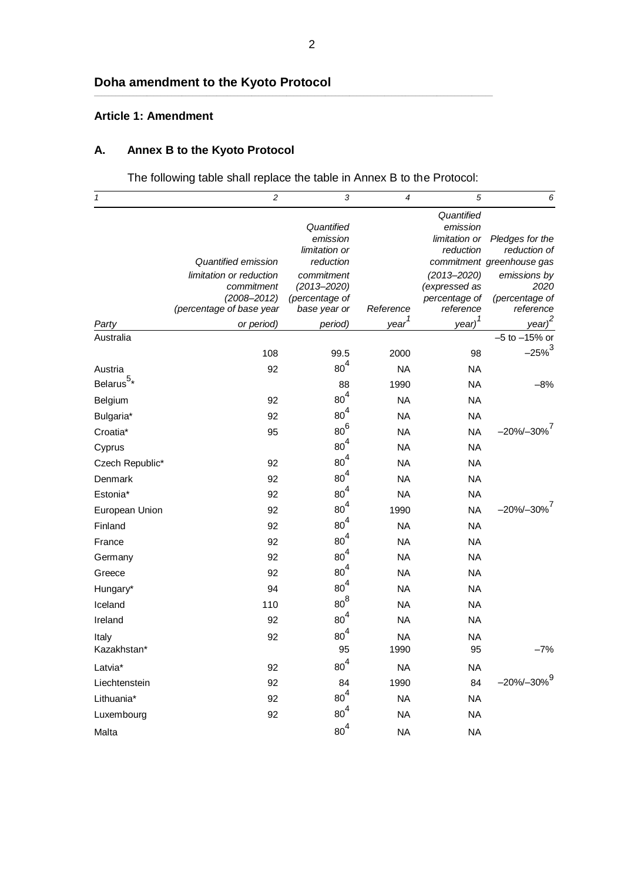### **Article 1: Amendment**

# **A. Annex B to the Kyoto Protocol**

The following table shall replace the table in Annex B to the Protocol:

**\_\_\_\_\_\_\_\_\_\_\_\_\_\_\_\_\_\_\_\_\_\_\_\_\_\_\_\_\_\_\_\_\_\_\_\_\_\_\_\_\_\_\_\_\_\_\_\_\_\_\_\_\_\_\_\_\_\_\_\_\_\_\_\_\_\_\_\_\_\_\_\_\_\_\_\_\_\_\_\_\_\_\_\_\_\_\_\_\_\_\_\_\_\_\_\_\_\_\_\_\_\_\_\_\_\_\_\_\_\_\_\_\_\_**

| $\mathbf{1}$    | $\overline{c}$           | 3                          | $\overline{4}$    | 5                      | 6                                         |
|-----------------|--------------------------|----------------------------|-------------------|------------------------|-------------------------------------------|
|                 |                          | Quantified                 |                   | Quantified<br>emission |                                           |
|                 |                          | emission                   |                   | limitation or          | Pledges for the                           |
|                 | Quantified emission      | limitation or<br>reduction |                   | reduction              | reduction of<br>commitment greenhouse gas |
|                 | limitation or reduction  | commitment                 |                   | $(2013 - 2020)$        | emissions by                              |
|                 | commitment               | $(2013 - 2020)$            |                   | (expressed as          | 2020                                      |
|                 | $(2008 - 2012)$          | (percentage of             |                   | percentage of          | (percentage of                            |
|                 | (percentage of base year | base year or               | Reference         | reference              | reference                                 |
| Party           | or period)               | period)                    | year <sup>1</sup> | $year)^{1}$            | year) <sup>2</sup>                        |
| Australia       |                          |                            |                   |                        | $-5$ to $-15%$ or                         |
|                 | 108                      | 99.5                       | 2000              | 98                     | $-25\%^{3}$                               |
| Austria         | 92                       | 80 <sup>4</sup>            | <b>NA</b>         | <b>NA</b>              |                                           |
| Belarus $^{5*}$ |                          | 88                         | 1990              | <b>NA</b>              | $-8%$                                     |
| Belgium         | 92                       | $80^4$                     | <b>NA</b>         | <b>NA</b>              |                                           |
| Bulgaria*       | 92                       | 80 <sup>4</sup>            | <b>NA</b>         | <b>NA</b>              |                                           |
| Croatia*        | 95                       | $80^6$                     | <b>NA</b>         | <b>NA</b>              | $-20\% - 30\%$ <sup>7</sup>               |
| Cyprus          |                          | 80 <sup>4</sup>            | <b>NA</b>         | <b>NA</b>              |                                           |
| Czech Republic* | 92                       | 80 <sup>4</sup>            | <b>NA</b>         | <b>NA</b>              |                                           |
| Denmark         | 92                       | 80 <sup>4</sup>            | <b>NA</b>         | <b>NA</b>              |                                           |
| Estonia*        | 92                       | $80^4$                     | <b>NA</b>         | <b>NA</b>              |                                           |
| European Union  | 92                       | $80^4$                     | 1990              | <b>NA</b>              | $-20\% - 30\%$ <sup>7</sup>               |
| Finland         | 92                       | 80 <sup>4</sup>            | <b>NA</b>         | <b>NA</b>              |                                           |
| France          | 92                       | 80 <sup>4</sup>            | <b>NA</b>         | <b>NA</b>              |                                           |
| Germany         | 92                       | $80^4$                     | <b>NA</b>         | <b>NA</b>              |                                           |
| Greece          | 92                       | $80^4$                     | <b>NA</b>         | <b>NA</b>              |                                           |
| Hungary*        | 94                       | 80 <sup>4</sup>            | <b>NA</b>         | <b>NA</b>              |                                           |
| Iceland         | 110                      | $80^8$                     | <b>NA</b>         | <b>NA</b>              |                                           |
| Ireland         | 92                       | $80^4$                     | <b>NA</b>         | <b>NA</b>              |                                           |
| Italy           | 92                       | 80 <sup>4</sup>            | <b>NA</b>         | <b>NA</b>              |                                           |
| Kazakhstan*     |                          | 95                         | 1990              | 95                     | $-7%$                                     |
| Latvia*         | 92                       | 80 <sup>4</sup>            | <b>NA</b>         | <b>NA</b>              |                                           |
| Liechtenstein   | 92                       | 84                         | 1990              | 84                     | $-20\% - 30\%$ <sup>9</sup>               |
| Lithuania*      | 92                       | $80^4$                     | <b>NA</b>         | <b>NA</b>              |                                           |
| Luxembourg      | 92                       | $80^4$                     | <b>NA</b>         | <b>NA</b>              |                                           |
| Malta           |                          | 80 <sup>4</sup>            | <b>NA</b>         | <b>NA</b>              |                                           |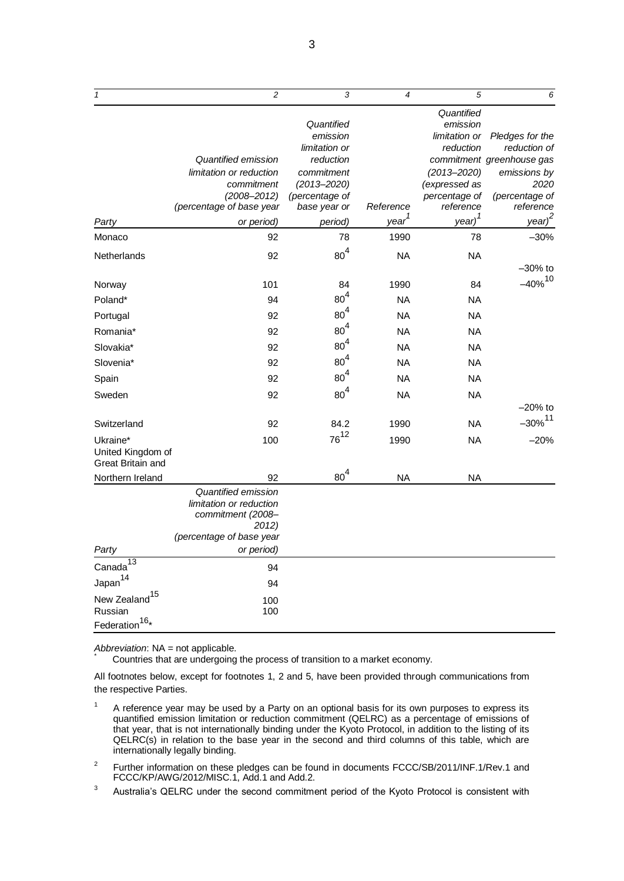| $\mathbf{1}$                                                       | $\overline{c}$                                                                                           | 3                                       | $\overline{4}$    | 5                                                    | 6                               |
|--------------------------------------------------------------------|----------------------------------------------------------------------------------------------------------|-----------------------------------------|-------------------|------------------------------------------------------|---------------------------------|
|                                                                    |                                                                                                          | Quantified<br>emission<br>limitation or |                   | Quantified<br>emission<br>limitation or<br>reduction | Pledges for the<br>reduction of |
|                                                                    | Quantified emission                                                                                      | reduction                               |                   |                                                      | commitment greenhouse gas       |
|                                                                    | limitation or reduction                                                                                  | commitment                              |                   | $(2013 - 2020)$                                      | emissions by                    |
|                                                                    | commitment                                                                                               | $(2013 - 2020)$                         |                   | (expressed as                                        | 2020                            |
|                                                                    | $(2008 - 2012)$                                                                                          | (percentage of                          |                   | percentage of                                        | (percentage of                  |
|                                                                    | (percentage of base year                                                                                 | base year or                            | Reference         | reference                                            | reference                       |
| Party                                                              | or period)                                                                                               | period)                                 | year <sup>1</sup> | year) <sup>1</sup>                                   | year) <sup>2</sup>              |
| Monaco                                                             | 92                                                                                                       | 78                                      | 1990              | 78                                                   | $-30%$                          |
| Netherlands                                                        | 92                                                                                                       | $80^4$                                  | NA                | <b>NA</b>                                            | $-30\%$ to                      |
| Norway                                                             | 101                                                                                                      | 84                                      | 1990              | 84                                                   | $-40\%$ <sup>10</sup>           |
| Poland*                                                            | 94                                                                                                       | $80^4$                                  | <b>NA</b>         | NA                                                   |                                 |
| Portugal                                                           | 92                                                                                                       | 80 <sup>4</sup>                         | <b>NA</b>         | NA                                                   |                                 |
| Romania*                                                           | 92                                                                                                       | 80 <sup>4</sup>                         | <b>NA</b>         | <b>NA</b>                                            |                                 |
| Slovakia*                                                          | 92                                                                                                       | 80 <sup>4</sup>                         | <b>NA</b>         | <b>NA</b>                                            |                                 |
| Slovenia*                                                          | 92                                                                                                       | 80 <sup>4</sup>                         | <b>NA</b>         | <b>NA</b>                                            |                                 |
| Spain                                                              | 92                                                                                                       | $80^4$                                  | <b>NA</b>         | <b>NA</b>                                            |                                 |
| Sweden                                                             | 92                                                                                                       | $80^4$                                  | <b>NA</b>         | <b>NA</b>                                            |                                 |
|                                                                    |                                                                                                          |                                         |                   |                                                      | $-20\%$ to                      |
| Switzerland                                                        | 92                                                                                                       | 84.2                                    | 1990              | <b>NA</b>                                            | $-30\%$ <sup>11</sup>           |
| Ukraine*<br>United Kingdom of<br>Great Britain and                 | 100                                                                                                      | $76^{12}$                               | 1990              | <b>NA</b>                                            | $-20%$                          |
| Northern Ireland                                                   | 92                                                                                                       | 80 <sup>4</sup>                         | <b>NA</b>         | <b>NA</b>                                            |                                 |
|                                                                    | Quantified emission<br>limitation or reduction<br>commitment (2008–<br>2012)<br>(percentage of base year |                                         |                   |                                                      |                                 |
| Party                                                              | or period)                                                                                               |                                         |                   |                                                      |                                 |
| $Canada^{\overline{13}}$                                           | 94                                                                                                       |                                         |                   |                                                      |                                 |
| Japan <sup>14</sup>                                                | 94                                                                                                       |                                         |                   |                                                      |                                 |
| New Zealand <sup>15</sup><br>Russian<br>Federation <sup>16</sup> * | 100<br>100                                                                                               |                                         |                   |                                                      |                                 |

*Abbreviation*: NA = not applicable. \*

Countries that are undergoing the process of transition to a market economy.

All footnotes below, except for footnotes 1, 2 and 5, have been provided through communications from the respective Parties.

- $1 -$  A reference year may be used by a Party on an optional basis for its own purposes to express its quantified emission limitation or reduction commitment (QELRC) as a percentage of emissions of that year, that is not internationally binding under the Kyoto Protocol, in addition to the listing of its QELRC(s) in relation to the base year in the second and third columns of this table, which are internationally legally binding.
- 2 Further information on these pledges can be found in documents FCCC/SB/2011/INF.1/Rev.1 and FCCC/KP/AWG/2012/MISC.1, Add.1 and Add.2.
- <sup>3</sup> Australia's QELRC under the second commitment period of the Kyoto Protocol is consistent with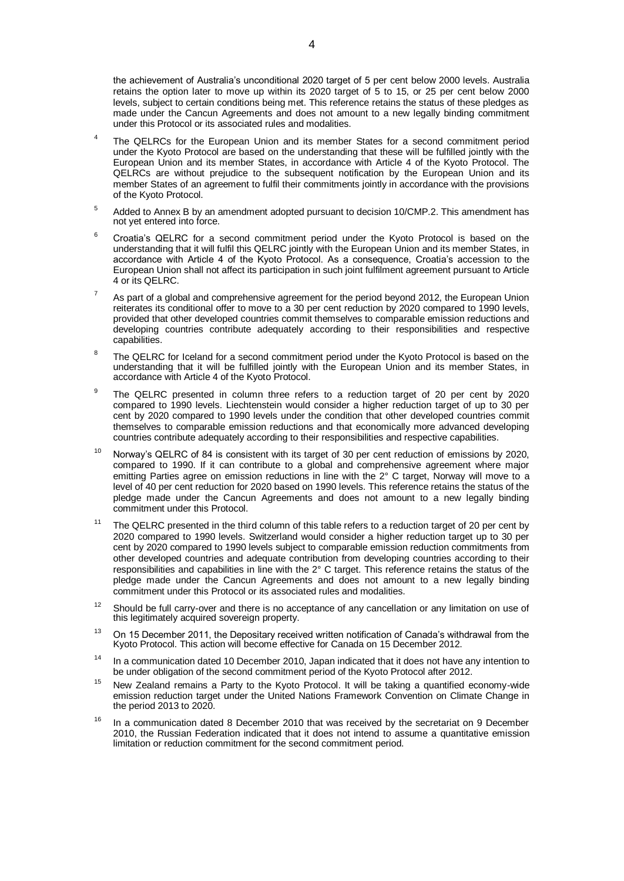the achievement of Australia's unconditional 2020 target of 5 per cent below 2000 levels. Australia retains the option later to move up within its 2020 target of 5 to 15, or 25 per cent below 2000 levels, subject to certain conditions being met. This reference retains the status of these pledges as made under the Cancun Agreements and does not amount to a new legally binding commitment under this Protocol or its associated rules and modalities.

- 4 The QELRCs for the European Union and its member States for a second commitment period under the Kyoto Protocol are based on the understanding that these will be fulfilled jointly with the European Union and its member States, in accordance with Article 4 of the Kyoto Protocol. The QELRCs are without prejudice to the subsequent notification by the European Union and its member States of an agreement to fulfil their commitments jointly in accordance with the provisions of the Kyoto Protocol.
- <sup>5</sup> Added to Annex B by an amendment adopted pursuant to decision 10/CMP.2. This amendment has not yet entered into force.
- <sup>6</sup> Croatia's QELRC for a second commitment period under the Kyoto Protocol is based on the understanding that it will fulfil this QELRC jointly with the European Union and its member States, in accordance with Article 4 of the Kyoto Protocol. As a consequence, Croatia's accession to the European Union shall not affect its participation in such joint fulfilment agreement pursuant to Article 4 or its QELRC.
- $7<sup>7</sup>$  As part of a global and comprehensive agreement for the period beyond 2012, the European Union reiterates its conditional offer to move to a 30 per cent reduction by 2020 compared to 1990 levels, provided that other developed countries commit themselves to comparable emission reductions and developing countries contribute adequately according to their responsibilities and respective capabilities.
- 8 The QELRC for Iceland for a second commitment period under the Kyoto Protocol is based on the understanding that it will be fulfilled jointly with the European Union and its member States, in accordance with Article 4 of the Kyoto Protocol.
- 9 The QELRC presented in column three refers to a reduction target of 20 per cent by 2020 compared to 1990 levels. Liechtenstein would consider a higher reduction target of up to 30 per cent by 2020 compared to 1990 levels under the condition that other developed countries commit themselves to comparable emission reductions and that economically more advanced developing countries contribute adequately according to their responsibilities and respective capabilities.
- <sup>10</sup> Norway's QELRC of 84 is consistent with its target of 30 per cent reduction of emissions by 2020, compared to 1990. If it can contribute to a global and comprehensive agreement where major emitting Parties agree on emission reductions in line with the 2° C target, Norway will move to a level of 40 per cent reduction for 2020 based on 1990 levels. This reference retains the status of the pledge made under the Cancun Agreements and does not amount to a new legally binding commitment under this Protocol.
- <sup>11</sup> The QELRC presented in the third column of this table refers to a reduction target of 20 per cent by 2020 compared to 1990 levels. Switzerland would consider a higher reduction target up to 30 per cent by 2020 compared to 1990 levels subject to comparable emission reduction commitments from other developed countries and adequate contribution from developing countries according to their responsibilities and capabilities in line with the 2° C target. This reference retains the status of the pledge made under the Cancun Agreements and does not amount to a new legally binding commitment under this Protocol or its associated rules and modalities.
- $12$  Should be full carry-over and there is no acceptance of any cancellation or any limitation on use of this legitimately acquired sovereign property.
- $13$  On 15 December 2011, the Depositary received written notification of Canada's withdrawal from the Kyoto Protocol. This action will become effective for Canada on 15 December 2012.
- <sup>14</sup> In a communication dated 10 December 2010, Japan indicated that it does not have any intention to be under obligation of the second commitment period of the Kyoto Protocol after 2012.
- <sup>15</sup> New Zealand remains a Party to the Kyoto Protocol. It will be taking a quantified economy-wide emission reduction target under the United Nations Framework Convention on Climate Change in the period 2013 to 2020.
- $16$  In a communication dated 8 December 2010 that was received by the secretariat on 9 December 2010, the Russian Federation indicated that it does not intend to assume a quantitative emission limitation or reduction commitment for the second commitment period.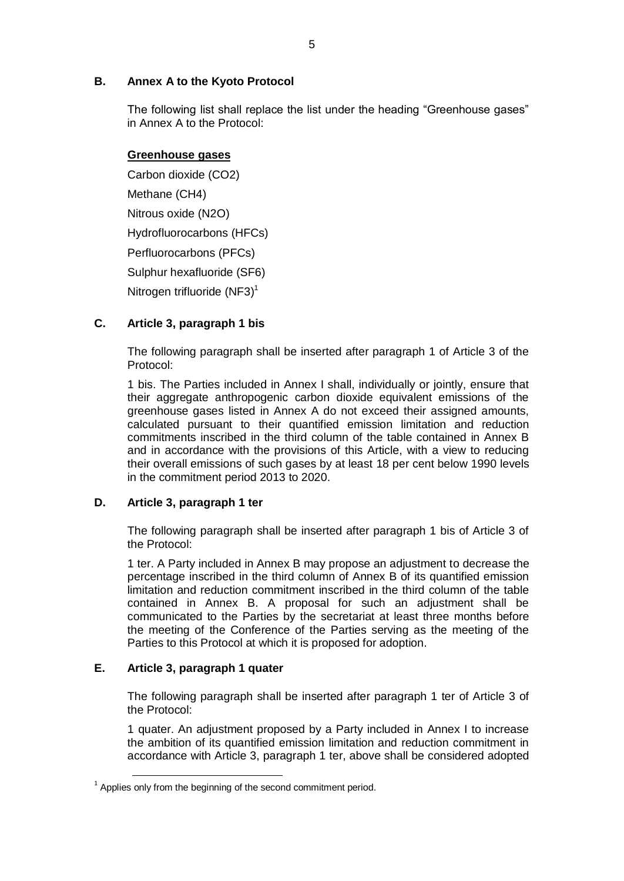### **B. Annex A to the Kyoto Protocol**

The following list shall replace the list under the heading "Greenhouse gases" in Annex A to the Protocol:

### **Greenhouse gases**

Carbon dioxide (CO2) Methane (CH4) Nitrous oxide (N2O) Hydrofluorocarbons (HFCs) Perfluorocarbons (PFCs) Sulphur hexafluoride (SF6) Nitrogen trifluoride (NF3)<sup>1</sup>

### **C. Article 3, paragraph 1 bis**

The following paragraph shall be inserted after paragraph 1 of Article 3 of the Protocol:

1 bis. The Parties included in Annex I shall, individually or jointly, ensure that their aggregate anthropogenic carbon dioxide equivalent emissions of the greenhouse gases listed in Annex A do not exceed their assigned amounts, calculated pursuant to their quantified emission limitation and reduction commitments inscribed in the third column of the table contained in Annex B and in accordance with the provisions of this Article, with a view to reducing their overall emissions of such gases by at least 18 per cent below 1990 levels in the commitment period 2013 to 2020.

### **D. Article 3, paragraph 1 ter**

The following paragraph shall be inserted after paragraph 1 bis of Article 3 of the Protocol:

1 ter. A Party included in Annex B may propose an adjustment to decrease the percentage inscribed in the third column of Annex B of its quantified emission limitation and reduction commitment inscribed in the third column of the table contained in Annex B. A proposal for such an adjustment shall be communicated to the Parties by the secretariat at least three months before the meeting of the Conference of the Parties serving as the meeting of the Parties to this Protocol at which it is proposed for adoption.

### **E. Article 3, paragraph 1 quater**

-

The following paragraph shall be inserted after paragraph 1 ter of Article 3 of the Protocol:

1 quater. An adjustment proposed by a Party included in Annex I to increase the ambition of its quantified emission limitation and reduction commitment in accordance with Article 3, paragraph 1 ter, above shall be considered adopted

 $1$  Applies only from the beginning of the second commitment period.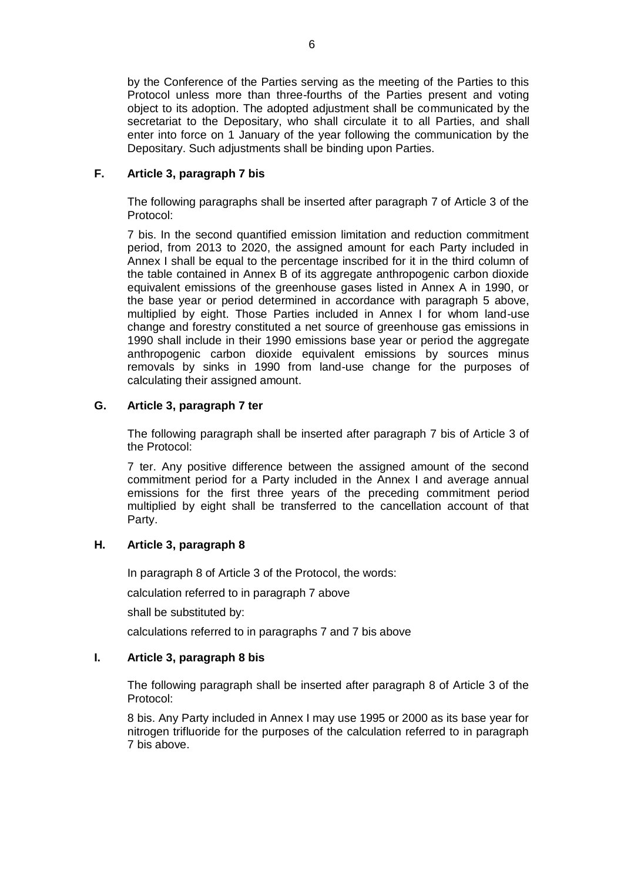by the Conference of the Parties serving as the meeting of the Parties to this Protocol unless more than three-fourths of the Parties present and voting object to its adoption. The adopted adjustment shall be communicated by the secretariat to the Depositary, who shall circulate it to all Parties, and shall enter into force on 1 January of the year following the communication by the Depositary. Such adjustments shall be binding upon Parties.

### **F. Article 3, paragraph 7 bis**

The following paragraphs shall be inserted after paragraph 7 of Article 3 of the Protocol:

7 bis. In the second quantified emission limitation and reduction commitment period, from 2013 to 2020, the assigned amount for each Party included in Annex I shall be equal to the percentage inscribed for it in the third column of the table contained in Annex B of its aggregate anthropogenic carbon dioxide equivalent emissions of the greenhouse gases listed in Annex A in 1990, or the base year or period determined in accordance with paragraph 5 above, multiplied by eight. Those Parties included in Annex I for whom land-use change and forestry constituted a net source of greenhouse gas emissions in 1990 shall include in their 1990 emissions base year or period the aggregate anthropogenic carbon dioxide equivalent emissions by sources minus removals by sinks in 1990 from land-use change for the purposes of calculating their assigned amount.

### **G. Article 3, paragraph 7 ter**

The following paragraph shall be inserted after paragraph 7 bis of Article 3 of the Protocol:

7 ter. Any positive difference between the assigned amount of the second commitment period for a Party included in the Annex I and average annual emissions for the first three years of the preceding commitment period multiplied by eight shall be transferred to the cancellation account of that Party.

### **H. Article 3, paragraph 8**

In paragraph 8 of Article 3 of the Protocol, the words:

calculation referred to in paragraph 7 above

shall be substituted by:

calculations referred to in paragraphs 7 and 7 bis above

### **I. Article 3, paragraph 8 bis**

The following paragraph shall be inserted after paragraph 8 of Article 3 of the Protocol:

8 bis. Any Party included in Annex I may use 1995 or 2000 as its base year for nitrogen trifluoride for the purposes of the calculation referred to in paragraph 7 bis above.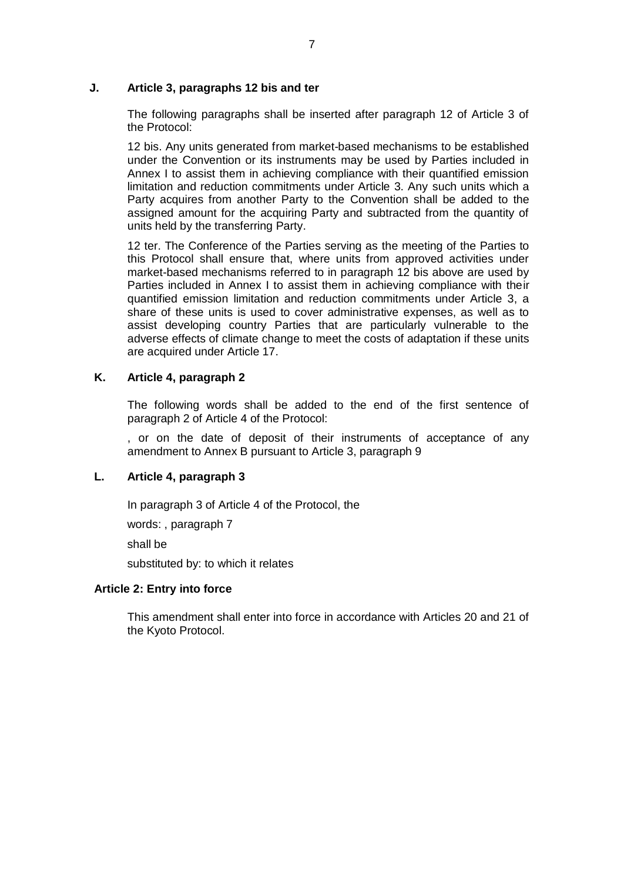### **J. Article 3, paragraphs 12 bis and ter**

The following paragraphs shall be inserted after paragraph 12 of Article 3 of the Protocol:

12 bis. Any units generated from market-based mechanisms to be established under the Convention or its instruments may be used by Parties included in Annex I to assist them in achieving compliance with their quantified emission limitation and reduction commitments under Article 3. Any such units which a Party acquires from another Party to the Convention shall be added to the assigned amount for the acquiring Party and subtracted from the quantity of units held by the transferring Party.

12 ter. The Conference of the Parties serving as the meeting of the Parties to this Protocol shall ensure that, where units from approved activities under market-based mechanisms referred to in paragraph 12 bis above are used by Parties included in Annex I to assist them in achieving compliance with their quantified emission limitation and reduction commitments under Article 3, a share of these units is used to cover administrative expenses, as well as to assist developing country Parties that are particularly vulnerable to the adverse effects of climate change to meet the costs of adaptation if these units are acquired under Article 17.

### **K. Article 4, paragraph 2**

The following words shall be added to the end of the first sentence of paragraph 2 of Article 4 of the Protocol:

, or on the date of deposit of their instruments of acceptance of any amendment to Annex B pursuant to Article 3, paragraph 9

### **L. Article 4, paragraph 3**

In paragraph 3 of Article 4 of the Protocol, the

words: , paragraph 7

shall be

substituted by: to which it relates

#### **Article 2: Entry into force**

This amendment shall enter into force in accordance with Articles 20 and 21 of the Kyoto Protocol.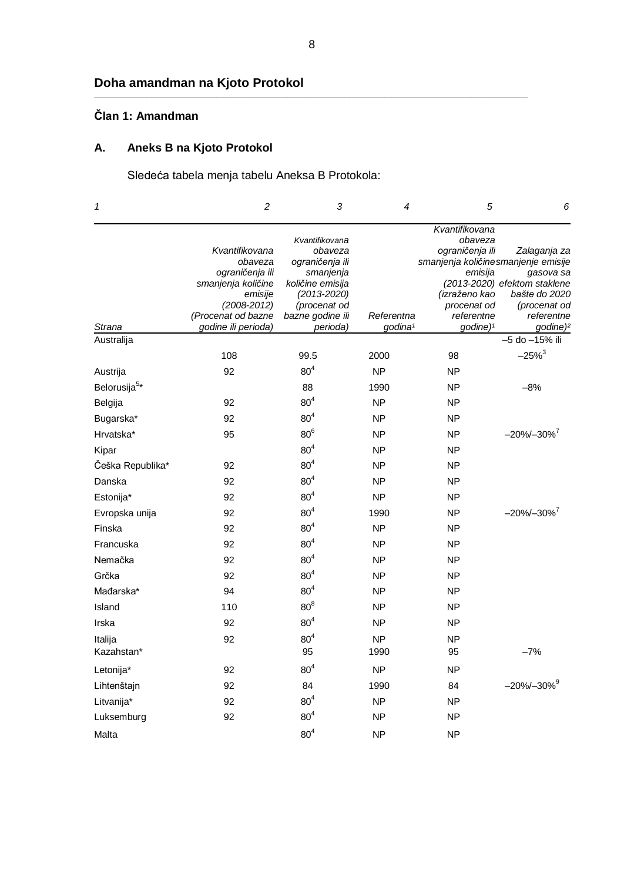# **Doha amandman na Kjoto Protokol**

# **Član 1: Amandman**

# **A. Aneks B na Kjoto Protokol**

Sledeća tabela menja tabelu Aneksa B Protokola:

| $\boldsymbol{\mathcal{I}}$ | $\overline{c}$                                               | 3                                                | 4                                 | 5                                                                                    | 6                                                          |
|----------------------------|--------------------------------------------------------------|--------------------------------------------------|-----------------------------------|--------------------------------------------------------------------------------------|------------------------------------------------------------|
|                            | Kvantifikovana<br>obaveza                                    | Kvantifikovana<br>obaveza<br>ograničenja ili     |                                   | Kvantifikovana<br>obaveza<br>ograničenja ili<br>smanjenja količine smanjenje emisije | Zalaganja za                                               |
|                            | ograničenja ili<br>smanjenja količine<br>emisije             | smanjenja<br>količine emisija<br>$(2013 - 2020)$ |                                   | emisija<br>(izraženo kao                                                             | gasova sa<br>(2013-2020) efektom staklene<br>bašte do 2020 |
| Strana                     | $(2008 - 2012)$<br>(Procenat od bazne<br>godine ili perioda) | (procenat od<br>bazne godine ili<br>perioda)     | Referentna<br>godina <sup>1</sup> | procenat od<br>referentne<br>godine) <sup>1</sup>                                    | (procenat od<br>referentne<br>godine) <sup>2</sup>         |
| Australija                 |                                                              |                                                  |                                   |                                                                                      | -5 do -15% ili                                             |
|                            | 108                                                          | 99.5                                             | 2000                              | 98                                                                                   | $-25%^{3}$                                                 |
| Austrija                   | 92                                                           | 80 <sup>4</sup>                                  | <b>NP</b>                         | ΝP                                                                                   |                                                            |
| Belorusija <sup>5*</sup>   |                                                              | 88                                               | 1990                              | <b>NP</b>                                                                            | $-8%$                                                      |
| Belgija                    | 92                                                           | 80 <sup>4</sup>                                  | <b>NP</b>                         | <b>NP</b>                                                                            |                                                            |
| Bugarska*                  | 92                                                           | 80 <sup>4</sup>                                  | <b>NP</b>                         | NP                                                                                   |                                                            |
| Hrvatska*                  | 95                                                           | 80 <sup>6</sup>                                  | <b>NP</b>                         | <b>NP</b>                                                                            | $-20\% - 30\%$ <sup>7</sup>                                |
| Kipar                      |                                                              | 80 <sup>4</sup>                                  | <b>NP</b>                         | <b>NP</b>                                                                            |                                                            |
| Češka Republika*           | 92                                                           | 80 <sup>4</sup>                                  | <b>NP</b>                         | <b>NP</b>                                                                            |                                                            |
| Danska                     | 92                                                           | 80 <sup>4</sup>                                  | <b>NP</b>                         | <b>NP</b>                                                                            |                                                            |
| Estonija*                  | 92                                                           | 80 <sup>4</sup>                                  | <b>NP</b>                         | <b>NP</b>                                                                            |                                                            |
| Evropska unija             | 92                                                           | 80 <sup>4</sup>                                  | 1990                              | <b>NP</b>                                                                            | $-20\% - 30\%$ <sup>7</sup>                                |
| Finska                     | 92                                                           | 80 <sup>4</sup>                                  | <b>NP</b>                         | <b>NP</b>                                                                            |                                                            |
| Francuska                  | 92                                                           | 80 <sup>4</sup>                                  | <b>NP</b>                         | <b>NP</b>                                                                            |                                                            |
| Nemačka                    | 92                                                           | 80 <sup>4</sup>                                  | <b>NP</b>                         | <b>NP</b>                                                                            |                                                            |
| Grčka                      | 92                                                           | 80 <sup>4</sup>                                  | <b>NP</b>                         | <b>NP</b>                                                                            |                                                            |
| Mađarska*                  | 94                                                           | $80^4$                                           | <b>NP</b>                         | <b>NP</b>                                                                            |                                                            |
| Island                     | 110                                                          | $80^8$                                           | <b>NP</b>                         | <b>NP</b>                                                                            |                                                            |
| Irska                      | 92                                                           | 80 <sup>4</sup>                                  | <b>NP</b>                         | <b>NP</b>                                                                            |                                                            |
| Italija                    | 92                                                           | 80 <sup>4</sup>                                  | <b>NP</b>                         | <b>NP</b>                                                                            |                                                            |
| Kazahstan*                 |                                                              | 95                                               | 1990                              | 95                                                                                   | $-7%$                                                      |
| Letonija*                  | 92                                                           | 80 <sup>4</sup>                                  | <b>NP</b>                         | ΝP                                                                                   |                                                            |
| Lihtenštajn                | 92                                                           | 84                                               | 1990                              | 84                                                                                   | $-20\% - 30\%$ <sup>9</sup>                                |
| Litvanija*                 | 92                                                           | 80 <sup>4</sup>                                  | <b>NP</b>                         | ΝP                                                                                   |                                                            |
| Luksemburg                 | 92                                                           | 80 <sup>4</sup>                                  | <b>NP</b>                         | <b>NP</b>                                                                            |                                                            |
| Malta                      |                                                              | 80 <sup>4</sup>                                  | <b>NP</b>                         | <b>NP</b>                                                                            |                                                            |

**\_\_\_\_\_\_\_\_\_\_\_\_\_\_\_\_\_\_\_\_\_\_\_\_\_\_\_\_\_\_\_\_\_\_\_\_\_\_\_\_\_\_\_\_\_\_\_\_\_\_\_\_\_\_\_\_\_\_\_\_\_\_\_\_\_\_\_\_\_\_\_\_\_\_\_\_\_\_\_\_\_\_\_\_\_\_\_\_\_\_\_\_\_\_\_\_\_\_\_\_\_\_\_\_\_\_\_\_\_\_\_\_\_\_\_\_\_\_\_\_\_\_\_\_**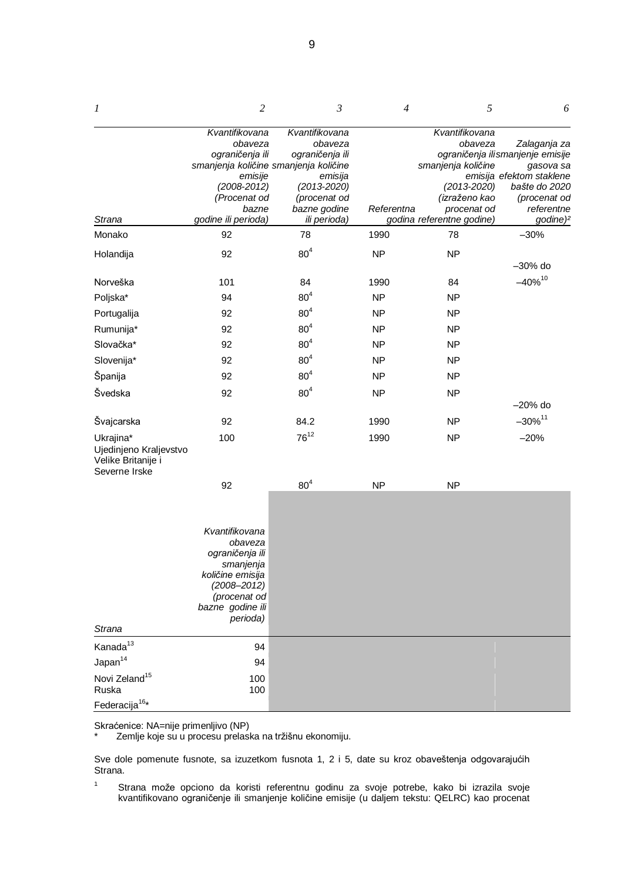| $\boldsymbol{l}$                                                           | 2                                                                                                                                                | $\mathfrak{Z}$                                          | $\overline{4}$ | 5                                               | 6                                                                                          |
|----------------------------------------------------------------------------|--------------------------------------------------------------------------------------------------------------------------------------------------|---------------------------------------------------------|----------------|-------------------------------------------------|--------------------------------------------------------------------------------------------|
|                                                                            | Kvantifikovana<br>obaveza<br>ograničenja ili<br>smanjenja količine smanjenja količine<br>emisije                                                 | Kvantifikovana<br>obaveza<br>ograničenja ili<br>emisija |                | Kvantifikovana<br>obaveza<br>smanjenja količine | Zalaganja za<br>ograničenja ili smanjenje emisije<br>gasova sa<br>emisija efektom staklene |
|                                                                            | $(2008 - 2012)$<br>(Procenat od                                                                                                                  | $(2013 - 2020)$<br>(procenat od                         |                | $(2013 - 2020)$<br>(izraženo kao                | bašte do 2020<br>(procenat od                                                              |
|                                                                            | bazne                                                                                                                                            | bazne godine                                            | Referentna     | procenat od                                     | referentne                                                                                 |
| Strana                                                                     | godine ili perioda)                                                                                                                              | ili perioda)                                            |                | godina referentne godine)                       | godine) <sup>2</sup>                                                                       |
| Monako                                                                     | 92                                                                                                                                               | 78                                                      | 1990           | 78                                              | $-30%$                                                                                     |
| Holandija                                                                  | 92                                                                                                                                               | 80 <sup>4</sup>                                         | <b>NP</b>      | <b>NP</b>                                       | $-30\%$ do                                                                                 |
| Norveška                                                                   | 101                                                                                                                                              | 84                                                      | 1990           | 84                                              | $-40\%^{10}$                                                                               |
| Poljska*                                                                   | 94                                                                                                                                               | 80 <sup>4</sup>                                         | <b>NP</b>      | <b>NP</b>                                       |                                                                                            |
| Portugalija                                                                | 92                                                                                                                                               | 80 <sup>4</sup>                                         | <b>NP</b>      | <b>NP</b>                                       |                                                                                            |
| Rumunija*                                                                  | 92                                                                                                                                               | 80 <sup>4</sup>                                         | <b>NP</b>      | <b>NP</b>                                       |                                                                                            |
| Slovačka*                                                                  | 92                                                                                                                                               | 80 <sup>4</sup>                                         | <b>NP</b>      | <b>NP</b>                                       |                                                                                            |
| Slovenija*                                                                 | 92                                                                                                                                               | 80 <sup>4</sup>                                         | <b>NP</b>      | <b>NP</b>                                       |                                                                                            |
| Španija                                                                    | 92                                                                                                                                               | 80 <sup>4</sup>                                         | <b>NP</b>      | <b>NP</b>                                       |                                                                                            |
| Švedska                                                                    | 92                                                                                                                                               | 80 <sup>4</sup>                                         | <b>NP</b>      | <b>NP</b>                                       |                                                                                            |
|                                                                            |                                                                                                                                                  |                                                         |                |                                                 | $-20\%$ do                                                                                 |
| Švajcarska                                                                 | 92                                                                                                                                               | 84.2                                                    | 1990           | <b>NP</b>                                       | $-30\%$ <sup>11</sup>                                                                      |
| Ukrajina*<br>Ujedinjeno Kraljevstvo<br>Velike Britanije i<br>Severne Irske | 100                                                                                                                                              | $76^{12}$                                               | 1990           | <b>NP</b>                                       | $-20%$                                                                                     |
|                                                                            | 92                                                                                                                                               | 80 <sup>4</sup>                                         | <b>NP</b>      | <b>NP</b>                                       |                                                                                            |
|                                                                            | Kvantifikovana<br>obaveza<br>ograničenja ili<br>smanjenja<br>količine emisija<br>$(2008 - 2012)$<br>(procenat od<br>bazne godine ili<br>perioda) |                                                         |                |                                                 |                                                                                            |
| Strana                                                                     |                                                                                                                                                  |                                                         |                |                                                 |                                                                                            |
| Kanada <sup>13</sup>                                                       | 94                                                                                                                                               |                                                         |                |                                                 |                                                                                            |
| Japan <sup>14</sup>                                                        | 94                                                                                                                                               |                                                         |                |                                                 |                                                                                            |
| Novi Zeland <sup>15</sup><br>Ruska                                         | 100<br>100                                                                                                                                       |                                                         |                |                                                 |                                                                                            |
| Federacija <sup>16*</sup>                                                  |                                                                                                                                                  |                                                         |                |                                                 |                                                                                            |

Skraćenice: NA=nije primenljivo (NP)<br>\* Zemlje koje su u procesu prelasl

Zemlje koje su u procesu prelaska na tržišnu ekonomiju.

Sve dole pomenute fusnote, sa izuzetkom fusnota 1, 2 i 5, date su kroz obaveštenja odgovarajućih Strana.

<sup>1</sup> Strana može opciono da koristi referentnu godinu za svoje potrebe, kako bi izrazila svoje kvantifikovano ograničenje ili smanjenje količine emisije (u daljem tekstu: QELRC) kao procenat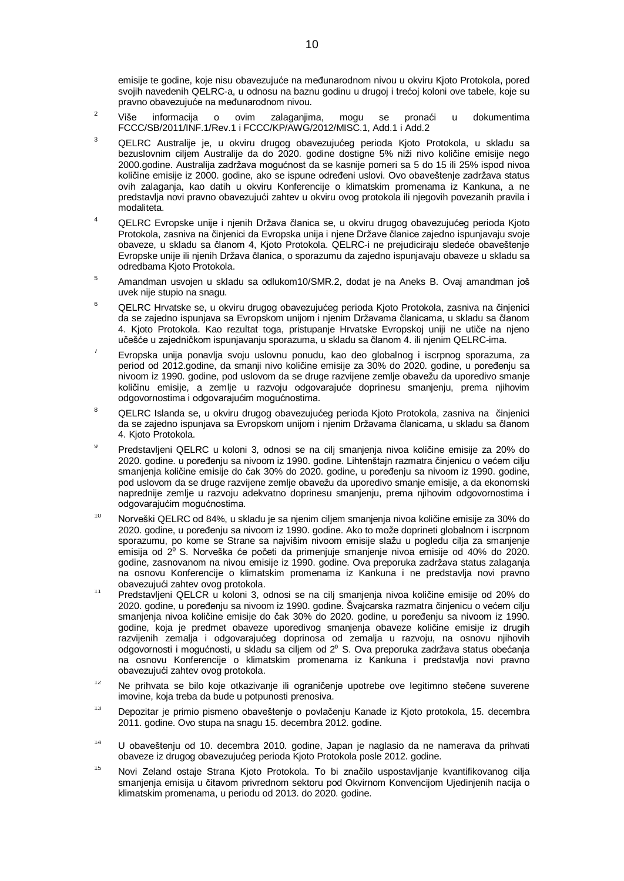emisije te godine, koje nisu obavezujuće na međunarodnom nivou u okviru Kjoto Protokola, pored svojih navedenih QELRC-a, u odnosu na baznu godinu u drugoj i trećoj koloni ove tabele, koje su pravno obavezujuće na međunarodnom nivou.

- $2^2$  Više informacija o ovim zalaganjima, mogu se pronaći u dokumentima FCCC/SB/2011/INF.1/Rev.1 i FCCC/KP/AWG/2012/MISC.1, Add.1 i Add.2
- <sup>3</sup> QELRC Australije je, u okviru drugog obavezujućeg perioda Kjoto Protokola, u skladu sa bezuslovnim ciljem Australije da do 2020. godine dostigne 5% niži nivo količine emisije nego 2000.godine. Australija zadržava mogućnost da se kasnije pomeri sa 5 do 15 ili 25% ispod nivoa količine emisije iz 2000. godine, ako se ispune određeni uslovi. Ovo obaveštenje zadržava status ovih zalaganja, kao datih u okviru Konferencije o klimatskim promenama iz Kankuna, a ne predstavlja novi pravno obavezujući zahtev u okviru ovog protokola ili njegovih povezanih pravila i modaliteta.
- <sup>4</sup> QELRC Evropske unije i njenih Država članica se, u okviru drugog obavezujućeg perioda Kjoto Protokola, zasniva na činjenici da Evropska unija i njene Države članice zajedno ispunjavaju svoje obaveze, u skladu sa članom 4, Kjoto Protokola. QELRC-i ne prejudiciraju sledeće obaveštenje Evropske unije ili njenih Država članica, o sporazumu da zajedno ispunjavaju obaveze u skladu sa odredbama Kjoto Protokola.
- <sup>5</sup> Amandman usvojen u skladu sa odlukom10/SMR.2, dodat je na Aneks B. Ovaj amandman još uvek nije stupio na snagu.
- <sup>6</sup> QELRC Hrvatske se, u okviru drugog obavezujućeg perioda Kjoto Protokola, zasniva na činjenici da se zajedno ispunjava sa Evropskom unijom i njenim Državama članicama, u skladu sa članom 4. Kjoto Protokola. Kao rezultat toga, pristupanje Hrvatske Evropskoj uniji ne utiče na njeno učešće u zajedničkom ispunjavanju sporazuma, u skladu sa članom 4. ili njenim QELRC-ima.
- <sup>7</sup> Evropska unija ponavlja svoju uslovnu ponudu, kao deo globalnog i iscrpnog sporazuma, za period od 2012.godine, da smanji nivo količine emisije za 30% do 2020. godine, u poređenju sa nivoom iz 1990. godine, pod uslovom da se druge razvijene zemlje obavežu da uporedivo smanje količinu emisije, a zemlje u razvoju odgovarajuće doprinesu smanjenju, prema njihovim odgovornostima i odgovarajućim mogućnostima.
- <sup>8</sup> QELRC Islanda se, u okviru drugog obavezujućeg perioda Kjoto Protokola, zasniva na činjenici da se zajedno ispunjava sa Evropskom unijom i njenim Državama članicama, u skladu sa članom 4. Kjoto Protokola.
- <sup>9</sup> Predstavljeni QELRC u koloni 3, odnosi se na cilj smanjenja nivoa količine emisije za 20% do 2020. godine. u poređenju sa nivoom iz 1990. godine. Lihtenštajn razmatra činjenicu o većem cilju smanjenja količine emisije do čak 30% do 2020. godine, u poređenju sa nivoom iz 1990. godine, pod uslovom da se druge razvijene zemlje obavežu da uporedivo smanje emisije, a da ekonomski naprednije zemlje u razvoju adekvatno doprinesu smanjenju, prema njihovim odgovornostima i odgovarajućim mogućnostima.
- <sup>10</sup> Norveški QELRC od 84%, u skladu je sa njenim ciljem smanjenja nivoa količine emisije za 30% do 2020. godine, u poređenju sa nivoom iz 1990. godine. Ako to može doprineti globalnom i iscrpnom sporazumu, po kome se Strane sa najvišim nivoom emisije slažu u pogledu cilja za smanjenje emisija od 2⁰ S. Norveška će početi da primenjuje smanjenje nivoa emisije od 40% do 2020. godine, zasnovanom na nivou emisije iz 1990. godine. Ova preporuka zadržava status zalaganja na osnovu Konferencije o klimatskim promenama iz Kankuna i ne predstavlja novi pravno obavezujući zahtev ovog protokola.
- <sup>11</sup> Predstavljeni QELCR u koloni 3, odnosi se na cilj smanjenja nivoa količine emisije od 20% do 2020. godine, u poređenju sa nivoom iz 1990. godine. Švajcarska razmatra činjenicu o većem cilju smanjenja nivoa količine emisije do čak 30% do 2020. godine, u poređenju sa nivoom iz 1990. godine, koja je predmet obaveze uporedivog smanjenja obaveze količine emisije iz drugih razvijenih zemalja i odgovarajućeg doprinosa od zemalja u razvoju, na osnovu njihovih odgovornosti i mogućnosti, u skladu sa ciljem od 2<sup>0</sup> S. Ova preporuka zadržava status obećanja na osnovu Konferencije o klimatskim promenama iz Kankuna i predstavlja novi pravno obavezujući zahtev ovog protokola.
- <sup>12</sup> Ne prihvata se bilo koje otkazivanje ili ograničenje upotrebe ove legitimno stečene suverene imovine, koja treba da bude u potpunosti prenosiva.
- <sup>13</sup> Depozitar je primio pismeno obaveštenje o povlačenju Kanade iz Kjoto protokola, 15. decembra 2011. godine. Ovo stupa na snagu 15. decembra 2012. godine.
- <sup>14</sup> U obaveštenju od 10. decembra 2010. godine, Japan je naglasio da ne namerava da prihvati obaveze iz drugog obavezujućeg perioda Kjoto Protokola posle 2012. godine.
- <sup>15</sup> Novi Zeland ostaje Strana Kjoto Protokola. To bi značilo uspostavljanje kvantifikovanog cilja smanjenja emisija u čitavom privrednom sektoru pod Okvirnom Konvencijom Ujedinjenih nacija o klimatskim promenama, u periodu od 2013. do 2020. godine.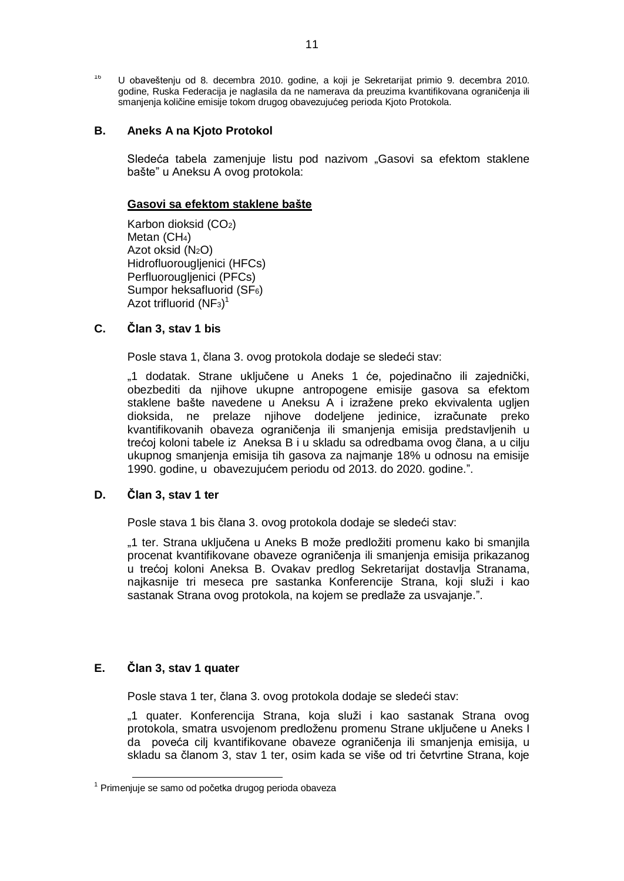<sup>16</sup> U obaveštenju od 8. decembra 2010. godine, a koji je Sekretarijat primio 9. decembra 2010. godine, Ruska Federacija je naglasila da ne namerava da preuzima kvantifikovana ograničenja ili smanjenja količine emisije tokom drugog obavezujućeg perioda Kjoto Protokola.

### **B. Aneks A na Kjoto Protokol**

Sledeća tabela zamenjuje listu pod nazivom "Gasovi sa efektom staklene bašte" u Aneksu A ovog protokola:

#### **Gasovi sa efektom staklene bašte**

Karbon dioksid (CO2) Metan (CH<sub>4</sub>) Azot oksid (N2O) Hidrofluorougljenici (HFCs) Perfluorougljenici (PFCs) Sumpor heksafluorid (SF6) Azot trifluorid (NF<sub>3</sub>)<sup>1</sup>

### **C. Član 3, stav 1 bis**

Posle stava 1, člana 3. ovog protokola dodaje se sledeći stav:

"1 dodatak. Strane uključene u Aneks 1 će, pojedinačno ili zajednički, obezbediti da njihove ukupne antropogene emisije gasova sa efektom staklene bašte navedene u Aneksu A i izražene preko ekvivalenta ugljen dioksida, ne prelaze njihove dodeljene jedinice, izračunate preko kvantifikovanih obaveza ograničenja ili smanjenja emisija predstavljenih u trećoj koloni tabele iz Aneksa B i u skladu sa odredbama ovog člana, a u cilju ukupnog smanjenja emisija tih gasova za najmanje 18% u odnosu na emisije 1990. godine, u obavezujućem periodu od 2013. do 2020. godine.".

#### **D. Član 3, stav 1 ter**

Posle stava 1 bis člana 3. ovog protokola dodaje se sledeći stav:

"1 ter. Strana uključena u Aneks B može predložiti promenu kako bi smanjila procenat kvantifikovane obaveze ograničenja ili smanjenja emisija prikazanog u trećoj koloni Aneksa B. Ovakav predlog Sekretarijat dostavlja Stranama, najkasnije tri meseca pre sastanka Konferencije Strana, koji služi i kao sastanak Strana ovog protokola, na kojem se predlaže za usvajanje.".

#### **E. Član 3, stav 1 quater**

-

Posle stava 1 ter, člana 3. ovog protokola dodaje se sledeći stav:

"1 guater. Konferencija Strana, koja služi i kao sastanak Strana ovog protokola, smatra usvojenom predloženu promenu Strane uključene u Aneks I da poveća cilj kvantifikovane obaveze ograničenja ili smanjenja emisija, u skladu sa članom 3, stav 1 ter, osim kada se više od tri četvrtine Strana, koje

<sup>1</sup> Primenjuje se samo od početka drugog perioda obaveza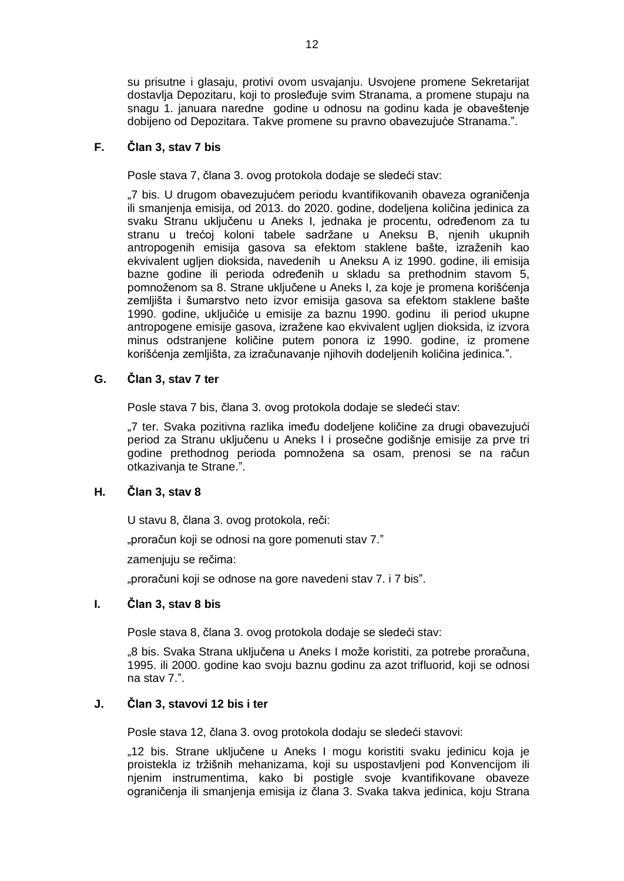su prisutne i glasaju, protivi ovom usvajanju. Usvojene promene Sekretarijat dostavlja Depozitaru, koji to prosleđuje svim Stranama, a promene stupaju na snagu 1. januara naredne godine u odnosu na godinu kada je obaveštenje dobijeno od Depozitara. Takve promene su pravno obavezujuće Stranama.".

### **F. Član 3, stav 7 bis**

Posle stava 7, člana 3. ovog protokola dodaje se sledeći stav:

"7 bis. U drugom obavezujućem periodu kvantifikovanih obaveza ograničenja ili smanjenja emisija, od 2013. do 2020. godine, dodeljena količina jedinica za svaku Stranu uključenu u Aneks I, jednaka je procentu, određenom za tu stranu u trećoj koloni tabele sadržane u Aneksu B, njenih ukupnih antropogenih emisija gasova sa efektom staklene bašte, izraženih kao ekvivalent ugljen dioksida, navedenih u Aneksu A iz 1990. godine, ili emisija bazne godine ili perioda određenih u skladu sa prethodnim stavom 5, pomnoženom sa 8. Strane uključene u Aneks I, za koje je promena korišćenja zemljišta i šumarstvo neto izvor emisija gasova sa efektom staklene bašte 1990. godine, uključiće u emisije za baznu 1990. godinu ili period ukupne antropogene emisije gasova, izražene kao ekvivalent ugljen dioksida, iz izvora minus odstranjene količine putem ponora iz 1990. godine, iz promene korišćenja zemljišta, za izračunavanje njihovih dodeljenih količina jedinica.".

### **G. Član 3, stav 7 ter**

Posle stava 7 bis, člana 3. ovog protokola dodaje se sledeći stav:

"7 ter. Svaka pozitivna razlika imeđu dodeljene količine za drugi obavezujući period za Stranu uključenu u Aneks I i prosečne godišnje emisije za prve tri godine prethodnog perioda pomnožena sa osam, prenosi se na račun otkazivanja te Strane.".

### **H. Član 3, stav 8**

U stavu 8, člana 3. ovog protokola, reči:

"proračun koji se odnosi na gore pomenuti stav 7."

zamenjuju se rečima:

"proračuni koji se odnose na gore navedeni stav 7. i 7 bis".

### **I. Član 3, stav 8 bis**

Posle stava 8, člana 3. ovog protokola dodaje se sledeći stav:

"8 bis. Svaka Strana uključena u Aneks I može koristiti, za potrebe proračuna, 1995. ili 2000. godine kao svoju baznu godinu za azot trifluorid, koji se odnosi na stav 7.".

### **J. Član 3, stavovi 12 bis i ter**

Posle stava 12, člana 3. ovog protokola dodaju se sledeći stavovi:

"12 bis. Strane uključene u Aneks I mogu koristiti svaku jedinicu koja je proistekla iz tržišnih mehanizama, koji su uspostavljeni pod Konvencijom ili njenim instrumentima, kako bi postigle svoje kvantifikovane obaveze ograničenja ili smanjenja emisija iz člana 3. Svaka takva jedinica, koju Strana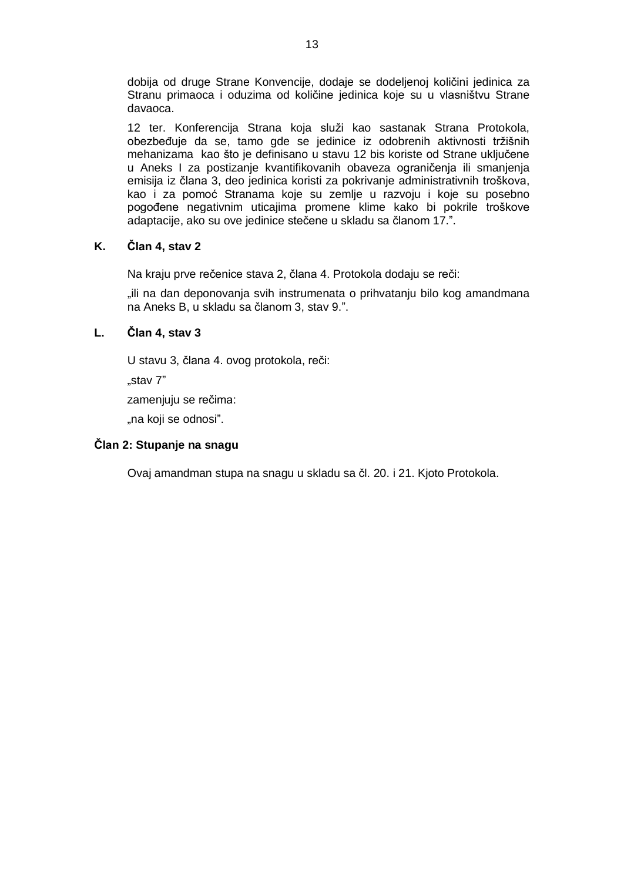dobija od druge Strane Konvencije, dodaje se dodeljenoj količini jedinica za Stranu primaoca i oduzima od količine jedinica koje su u vlasništvu Strane davaoca.

12 ter. Konferencija Strana koja služi kao sastanak Strana Protokola, obezbeđuje da se, tamo gde se jedinice iz odobrenih aktivnosti tržišnih mehanizama kao što je definisano u stavu 12 bis koriste od Strane uključene u Aneks I za postizanje kvantifikovanih obaveza ograničenja ili smanjenja emisija iz člana 3, deo jedinica koristi za pokrivanje administrativnih troškova, kao i za pomoć Stranama koje su zemlje u razvoju i koje su posebno pogođene negativnim uticajima promene klime kako bi pokrile troškove adaptacije, ako su ove jedinice stečene u skladu sa članom 17.".

### **K. Član 4, stav 2**

Na kraju prve rečenice stava 2, člana 4. Protokola dodaju se reči:

"ili na dan deponovanja svih instrumenata o prihvatanju bilo kog amandmana na Aneks B, u skladu sa članom 3, stav 9.".

### **L. Član 4, stav 3**

U stavu 3, člana 4. ovog protokola, reči:

"stav 7"

zamenjuju se rečima:

"na koji se odnosi".

### **Član 2: Stupanje na snagu**

Ovaj amandman stupa na snagu u skladu sa čl. 20. i 21. Kjoto Protokola.